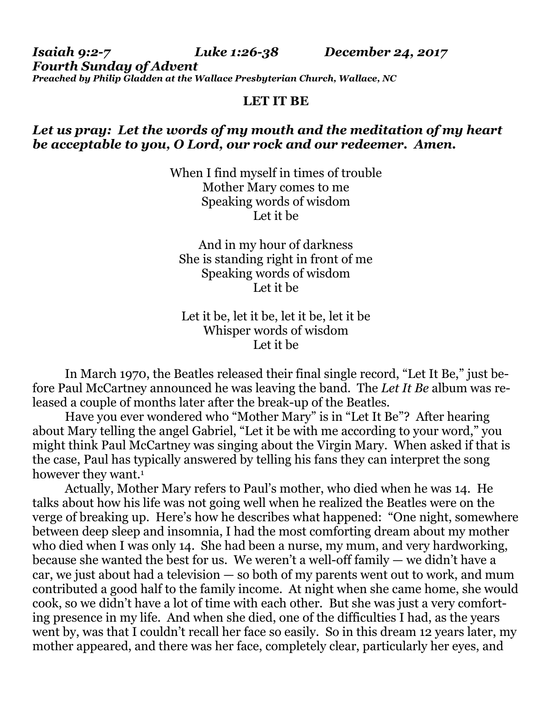*Isaiah 9:2-7 Luke 1:26-38 December 24, 2017 Fourth Sunday of Advent Preached by Philip Gladden at the Wallace Presbyterian Church, Wallace, NC*

## **LET IT BE**

## *Let us pray: Let the words of my mouth and the meditation of my heart be acceptable to you, O Lord, our rock and our redeemer. Amen.*

When I find myself in times of trouble Mother Mary comes to me Speaking words of wisdom Let it be

And in my hour of darkness She is standing right in front of me Speaking words of wisdom Let it be

Let it be, let it be, let it be, let it be Whisper words of wisdom Let it be

In March 1970, the Beatles released their final single record, "Let It Be," just before Paul McCartney announced he was leaving the band. The *Let It Be* album was released a couple of months later after the break-up of the Beatles.

Have you ever wondered who "Mother Mary" is in "Let It Be"? After hearing about Mary telling the angel Gabriel, "Let it be with me according to your word," you might think Paul McCartney was singing about the Virgin Mary. When asked if that is the case, Paul has typically answered by telling his fans they can interpret the song however they want.<sup>1</sup>

Actually, Mother Mary refers to Paul's mother, who died when he was 14. He talks about how his life was not going well when he realized the Beatles were on the verge of breaking up. Here's how he describes what happened: "One night, somewhere between deep sleep and insomnia, I had the most comforting dream about my mother who died when I was only 14. She had been a nurse, my mum, and very hardworking, because she wanted the best for us. We weren't a well-off family — we didn't have a car, we just about had a television — so both of my parents went out to work, and mum contributed a good half to the family income. At night when she came home, she would cook, so we didn't have a lot of time with each other. But she was just a very comforting presence in my life. And when she died, one of the difficulties I had, as the years went by, was that I couldn't recall her face so easily. So in this dream 12 years later, my mother appeared, and there was her face, completely clear, particularly her eyes, and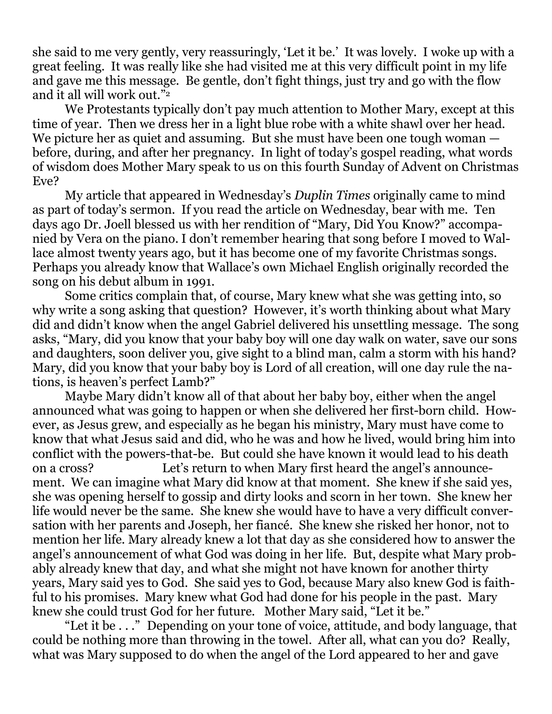she said to me very gently, very reassuringly, 'Let it be.' It was lovely. I woke up with a great feeling. It was really like she had visited me at this very difficult point in my life and gave me this message. Be gentle, don't fight things, just try and go with the flow and it all will work out."<sup>2</sup>

We Protestants typically don't pay much attention to Mother Mary, except at this time of year. Then we dress her in a light blue robe with a white shawl over her head. We picture her as quiet and assuming. But she must have been one tough woman before, during, and after her pregnancy. In light of today's gospel reading, what words of wisdom does Mother Mary speak to us on this fourth Sunday of Advent on Christmas Eve?

My article that appeared in Wednesday's *Duplin Times* originally came to mind as part of today's sermon. If you read the article on Wednesday, bear with me. Ten days ago Dr. Joell blessed us with her rendition of "Mary, Did You Know?" accompanied by Vera on the piano. I don't remember hearing that song before I moved to Wallace almost twenty years ago, but it has become one of my favorite Christmas songs. Perhaps you already know that Wallace's own Michael English originally recorded the song on his debut album in 1991.

Some critics complain that, of course, Mary knew what she was getting into, so why write a song asking that question? However, it's worth thinking about what Mary did and didn't know when the angel Gabriel delivered his unsettling message. The song asks, "Mary, did you know that your baby boy will one day walk on water, save our sons and daughters, soon deliver you, give sight to a blind man, calm a storm with his hand? Mary, did you know that your baby boy is Lord of all creation, will one day rule the nations, is heaven's perfect Lamb?"

Maybe Mary didn't know all of that about her baby boy, either when the angel announced what was going to happen or when she delivered her first-born child. However, as Jesus grew, and especially as he began his ministry, Mary must have come to know that what Jesus said and did, who he was and how he lived, would bring him into conflict with the powers-that-be. But could she have known it would lead to his death on a cross? Let's return to when Mary first heard the angel's announcement. We can imagine what Mary did know at that moment. She knew if she said yes, she was opening herself to gossip and dirty looks and scorn in her town. She knew her life would never be the same. She knew she would have to have a very difficult conversation with her parents and Joseph, her fiancé. She knew she risked her honor, not to mention her life. Mary already knew a lot that day as she considered how to answer the angel's announcement of what God was doing in her life. But, despite what Mary probably already knew that day, and what she might not have known for another thirty years, Mary said yes to God. She said yes to God, because Mary also knew God is faithful to his promises. Mary knew what God had done for his people in the past. Mary knew she could trust God for her future. Mother Mary said, "Let it be."

"Let it be . . ." Depending on your tone of voice, attitude, and body language, that could be nothing more than throwing in the towel. After all, what can you do? Really, what was Mary supposed to do when the angel of the Lord appeared to her and gave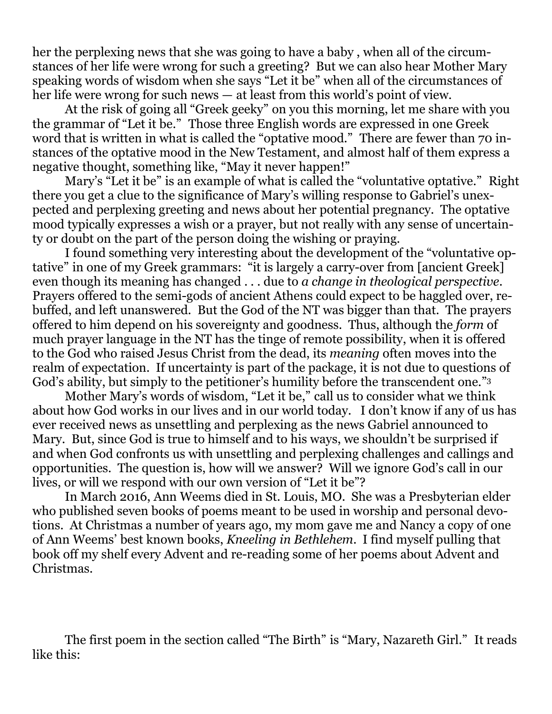her the perplexing news that she was going to have a baby , when all of the circumstances of her life were wrong for such a greeting? But we can also hear Mother Mary speaking words of wisdom when she says "Let it be" when all of the circumstances of her life were wrong for such news — at least from this world's point of view.

At the risk of going all "Greek geeky" on you this morning, let me share with you the grammar of "Let it be." Those three English words are expressed in one Greek word that is written in what is called the "optative mood." There are fewer than 70 instances of the optative mood in the New Testament, and almost half of them express a negative thought, something like, "May it never happen!"

Mary's "Let it be" is an example of what is called the "voluntative optative." Right there you get a clue to the significance of Mary's willing response to Gabriel's unexpected and perplexing greeting and news about her potential pregnancy. The optative mood typically expresses a wish or a prayer, but not really with any sense of uncertainty or doubt on the part of the person doing the wishing or praying.

I found something very interesting about the development of the "voluntative optative" in one of my Greek grammars: "it is largely a carry-over from [ancient Greek] even though its meaning has changed . . . due to *a change in theological perspective*. Prayers offered to the semi-gods of ancient Athens could expect to be haggled over, rebuffed, and left unanswered. But the God of the NT was bigger than that. The prayers offered to him depend on his sovereignty and goodness. Thus, although the *form* of much prayer language in the NT has the tinge of remote possibility, when it is offered to the God who raised Jesus Christ from the dead, its *meaning* often moves into the realm of expectation. If uncertainty is part of the package, it is not due to questions of God's ability, but simply to the petitioner's humility before the transcendent one." 3

Mother Mary's words of wisdom, "Let it be," call us to consider what we think about how God works in our lives and in our world today. I don't know if any of us has ever received news as unsettling and perplexing as the news Gabriel announced to Mary. But, since God is true to himself and to his ways, we shouldn't be surprised if and when God confronts us with unsettling and perplexing challenges and callings and opportunities. The question is, how will we answer? Will we ignore God's call in our lives, or will we respond with our own version of "Let it be"?

In March 2016, Ann Weems died in St. Louis, MO. She was a Presbyterian elder who published seven books of poems meant to be used in worship and personal devotions. At Christmas a number of years ago, my mom gave me and Nancy a copy of one of Ann Weems' best known books, *Kneeling in Bethlehem*. I find myself pulling that book off my shelf every Advent and re-reading some of her poems about Advent and Christmas.

The first poem in the section called "The Birth" is "Mary, Nazareth Girl." It reads like this: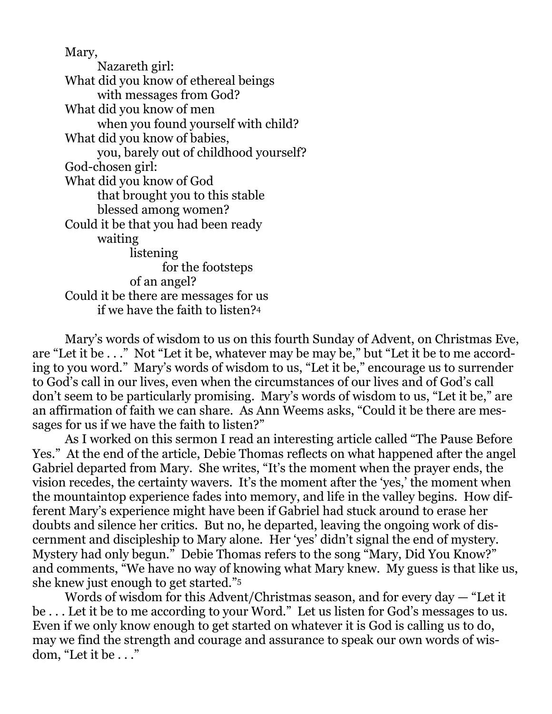Mary,

Nazareth girl: What did you know of ethereal beings with messages from God? What did you know of men when you found yourself with child? What did you know of babies, you, barely out of childhood yourself? God-chosen girl: What did you know of God that brought you to this stable blessed among women? Could it be that you had been ready waiting listening for the footsteps of an angel? Could it be there are messages for us if we have the faith to listen?<sup>4</sup>

Mary's words of wisdom to us on this fourth Sunday of Advent, on Christmas Eve, are "Let it be . . ." Not "Let it be, whatever may be may be," but "Let it be to me according to you word." Mary's words of wisdom to us, "Let it be," encourage us to surrender to God's call in our lives, even when the circumstances of our lives and of God's call don't seem to be particularly promising. Mary's words of wisdom to us, "Let it be," are an affirmation of faith we can share. As Ann Weems asks, "Could it be there are messages for us if we have the faith to listen?"

As I worked on this sermon I read an interesting article called "The Pause Before Yes." At the end of the article, Debie Thomas reflects on what happened after the angel Gabriel departed from Mary. She writes, "It's the moment when the prayer ends, the vision recedes, the certainty wavers. It's the moment after the 'yes,' the moment when the mountaintop experience fades into memory, and life in the valley begins. How different Mary's experience might have been if Gabriel had stuck around to erase her doubts and silence her critics. But no, he departed, leaving the ongoing work of discernment and discipleship to Mary alone. Her 'yes' didn't signal the end of mystery. Mystery had only begun." Debie Thomas refers to the song "Mary, Did You Know?" and comments, "We have no way of knowing what Mary knew. My guess is that like us, she knew just enough to get started." 5

Words of wisdom for this Advent/Christmas season, and for every day — "Let it be . . . Let it be to me according to your Word." Let us listen for God's messages to us. Even if we only know enough to get started on whatever it is God is calling us to do, may we find the strength and courage and assurance to speak our own words of wisdom, "Let it be . . ."